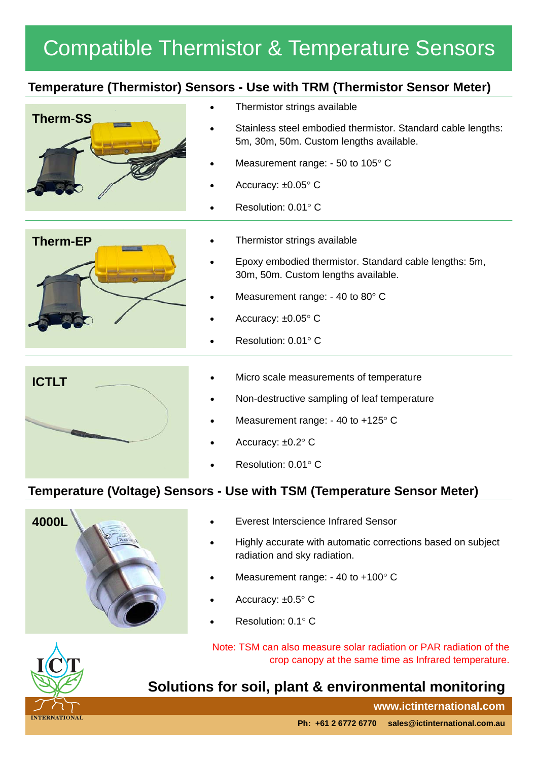# Compatible Thermistor & Temperature Sensors

### **Temperature (Thermistor) Sensors - Use with TRM (Thermistor Sensor Meter)**



- Thermistor strings available
- Stainless steel embodied thermistor. Standard cable lengths: 5m, 30m, 50m. Custom lengths available.
- Measurement range:  $-50$  to  $105^{\circ}$  C
- Accuracy: ±0.05° C
- Resolution: 0.01° C



- Thermistor strings available
- Epoxy embodied thermistor. Standard cable lengths: 5m, 30m, 50m. Custom lengths available.
- Measurement range:  $-40$  to 80 $^{\circ}$  C
- Accuracy: ±0.05° C
- Resolution: 0.01° C



- 
- Non-destructive sampling of leaf temperature
- Measurement range:  $-40$  to  $+125^{\circ}$  C
- Accuracy: ±0.2° C
- Resolution:  $0.01^\circ$  C

### **Temperature (Voltage) Sensors - Use with TSM (Temperature Sensor Meter)**



- Everest Interscience Infrared Sensor
- Highly accurate with automatic corrections based on subject radiation and sky radiation.
- Measurement range:  $-40$  to  $+100^{\circ}$  C
- Accuracy: ±0.5° C
- Resolution: 0.1° C

Note: TSM can also measure solar radiation or PAR radiation of the crop canopy at the same time as Infrared temperature.

## **Solutions for soil, plant & environmental monitoring**

**www.ictinternational.com**